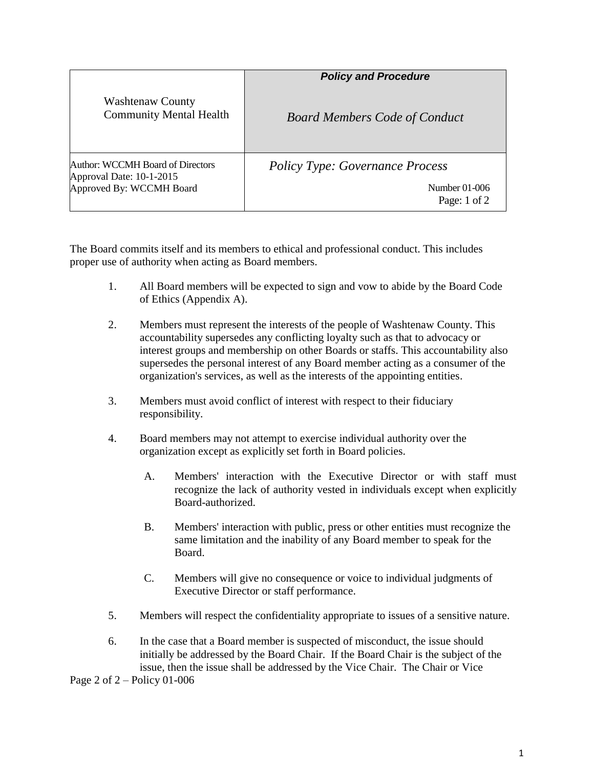|                                                                                          | <b>Policy and Procedure</b>            |
|------------------------------------------------------------------------------------------|----------------------------------------|
| <b>Washtenaw County</b><br><b>Community Mental Health</b>                                | <b>Board Members Code of Conduct</b>   |
| Author: WCCMH Board of Directors<br>Approval Date: 10-1-2015<br>Approved By: WCCMH Board | <b>Policy Type: Governance Process</b> |
|                                                                                          | Number 01-006<br>Page: $1$ of $2$      |

The Board commits itself and its members to ethical and professional conduct. This includes proper use of authority when acting as Board members.

- 1. All Board members will be expected to sign and vow to abide by the Board Code of Ethics (Appendix A).
- 2. Members must represent the interests of the people of Washtenaw County. This accountability supersedes any conflicting loyalty such as that to advocacy or interest groups and membership on other Boards or staffs. This accountability also supersedes the personal interest of any Board member acting as a consumer of the organization's services, as well as the interests of the appointing entities.
- 3. Members must avoid conflict of interest with respect to their fiduciary responsibility.
- 4. Board members may not attempt to exercise individual authority over the organization except as explicitly set forth in Board policies.
	- A. Members' interaction with the Executive Director or with staff must recognize the lack of authority vested in individuals except when explicitly Board-authorized.
	- B. Members' interaction with public, press or other entities must recognize the same limitation and the inability of any Board member to speak for the Board.
	- C. Members will give no consequence or voice to individual judgments of Executive Director or staff performance.
- 5. Members will respect the confidentiality appropriate to issues of a sensitive nature.
- 6. In the case that a Board member is suspected of misconduct, the issue should initially be addressed by the Board Chair. If the Board Chair is the subject of the issue, then the issue shall be addressed by the Vice Chair. The Chair or Vice

Page 2 of 2 – Policy 01-006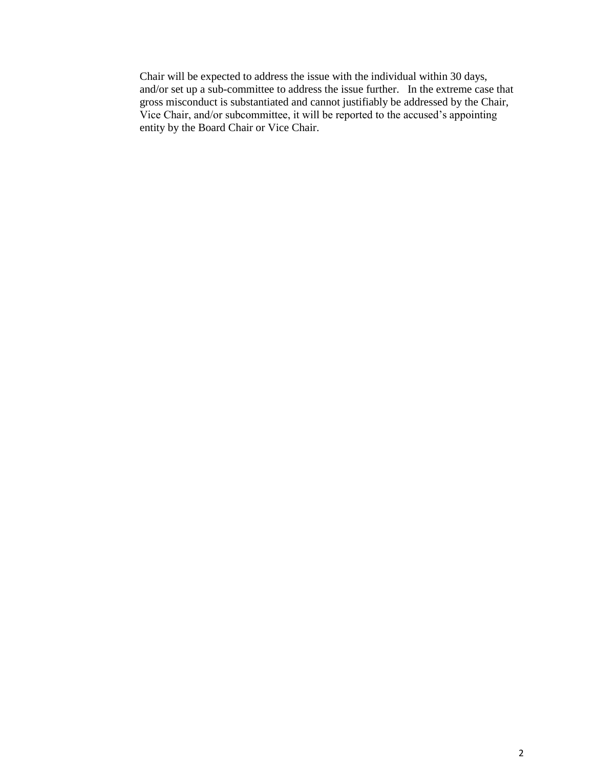Chair will be expected to address the issue with the individual within 30 days, and/or set up a sub-committee to address the issue further. In the extreme case that gross misconduct is substantiated and cannot justifiably be addressed by the Chair, Vice Chair, and/or subcommittee, it will be reported to the accused's appointing entity by the Board Chair or Vice Chair.